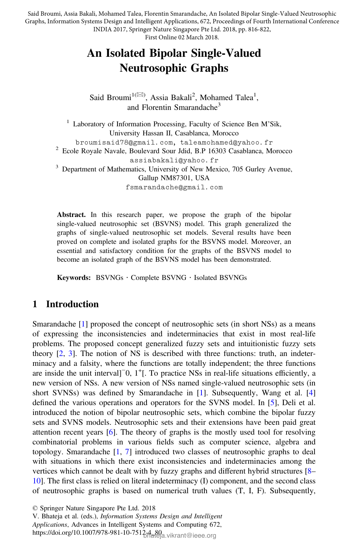Said Broumi, Assia Bakali, Mohamed Talea, Florentin Smarandache, An Isolated Bipolar Single-Valued Neutrosophic Graphs, Information Systems Design and Intelligent Applications, 672, Proceedings of Fourth International Conference INDIA 2017, Springer Nature Singapore Pte Ltd. 2018, pp. 816-822,

First Online 02 March 2018.

# An Isolated Bipolar Single-Valued Neutrosophic Graphs

Said Broumi<sup>1( $\boxtimes$ )</sup>, Assia Bakali<sup>2</sup>, Mohamed Talea<sup>1</sup>, and Florentin Smarandache<sup>3</sup>

<sup>1</sup> Laboratory of Information Processing, Faculty of Science Ben M'Sik, University Hassan II, Casablanca, Morocco<br>broumisaid78@gmail.com, taleamohamed@yahoo.fr  $\frac{2}{3}$  Ecole Royale Navale, Boulevard Sour Jdid, B.P 16303 Casablanca, Morocco assiabakali@yahoo.fr 3 Department of Mathematics, University of New Mexico, 705 Gurley Avenue, Gallup NM87301, USA fsmarandache@gmail.com

Abstract. In this research paper, we propose the graph of the bipolar single-valued neutrosophic set (BSVNS) model. This graph generalized the graphs of single-valued neutrosophic set models. Several results have been proved on complete and isolated graphs for the BSVNS model. Moreover, an essential and satisfactory condition for the graphs of the BSVNS model to become an isolated graph of the BSVNS model has been demonstrated.

Keywords: BSVNGs · Complete BSVNG · Isolated BSVNGs

### 1 Introduction

Smarandache [1] proposed the concept of neutrosophic sets (in short NSs) as a means of expressing the inconsistencies and indeterminacies that exist in most real-life problems. The proposed concept generalized fuzzy sets and intuitionistic fuzzy sets theory [2, 3]. The notion of NS is described with three functions: truth, an indeterminacy and a falsity, where the functions are totally independent; the three functions are inside the unit interval]<sup>-</sup>0, 1<sup>+</sup>[. To practice NSs in real-life situations efficiently, a new version of NSs. A new version of NSs named single-valued neutrosophic sets (in short SVNSs) was defined by Smarandache in [1]. Subsequently, Wang et al. [4] defined the various operations and operators for the SVNS model. In [5], Deli et al. introduced the notion of bipolar neutrosophic sets, which combine the bipolar fuzzy sets and SVNS models. Neutrosophic sets and their extensions have been paid great attention recent years [6]. The theory of graphs is the mostly used tool for resolving combinatorial problems in various fields such as computer science, algebra and topology. Smarandache [1, 7] introduced two classes of neutrosophic graphs to deal with situations in which there exist inconsistencies and indeterminacies among the vertices which cannot be dealt with by fuzzy graphs and different hybrid structures [8– 10]. The first class is relied on literal indeterminacy (I) component, and the second class of neutrosophic graphs is based on numerical truth values (T, I, F). Subsequently,

V. Bhateja et al. (eds.), Information Systems Design and Intelligent Applications, Advances in Intelligent Systems and Computing 672,

<sup>©</sup> Springer Nature Singapore Pte Ltd. 2018

https://doi.org/10.1007/978-981-10-75124-80<br>https://doi.org/10.1007/978-981-10-75124-80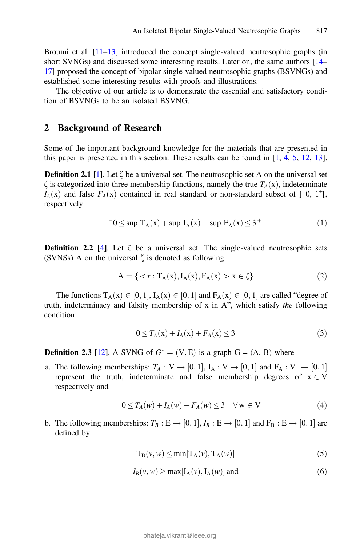Broumi et al.  $[11-13]$  introduced the concept single-valued neutrosophic graphs (in short SVNGs) and discussed some interesting results. Later on, the same authors [14– 17] proposed the concept of bipolar single-valued neutrosophic graphs (BSVNGs) and established some interesting results with proofs and illustrations.

The objective of our article is to demonstrate the essential and satisfactory condition of BSVNGs to be an isolated BSVNG.

#### 2 Background of Research

Some of the important background knowledge for the materials that are presented in this paper is presented in this section. These results can be found in  $[1, 4, 5, 12, 13]$ .

**Definition 2.1** [1]. Let  $\zeta$  be a universal set. The neutrosophic set A on the universal set  $\zeta$  is categorized into three membership functions, namely the true  $T_A(x)$ , indeterminate  $I_A(x)$  and false  $F_A(x)$  contained in real standard or non-standard subset of ]<sup>-</sup>0, 1<sup>+</sup>[, respectively respectively.

$$
-0 \le \sup T_A(x) + \sup I_A(x) + \sup F_A(x) \le 3^+ \tag{1}
$$

**Definition 2.2** [4]. Let  $\zeta$  be a universal set. The single-valued neutrosophic sets (SVNSs) A on the universal  $\zeta$  is denoted as following

$$
A = \{ \langle x : T_A(x), I_A(x), F_A(x) > x \in \zeta \} \tag{2}
$$

The functions  $T_A(x) \in [0, 1]$ ,  $I_A(x) \in [0, 1]$  and  $F_A(x) \in [0, 1]$  are called "degree of truth, indeterminacy and falsity membership of x in A", which satisfy the following condition:

$$
0 \le T_A(x) + I_A(x) + F_A(x) \le 3 \tag{3}
$$

**Definition 2.3** [12]. A SVNG of  $G^* = (V, E)$  is a graph  $G = (A, B)$  where

a. The following memberships:  $T_A: V \to [0,1]$ ,  $I_A: V \to [0,1]$  and  $F_A: V \to [0,1]$ represent the truth, indeterminate and false membership degrees of  $x \in V$ respectively and

$$
0 \le T_A(w) + I_A(w) + F_A(w) \le 3 \quad \forall \, w \in V \tag{4}
$$

b. The following memberships:  $T_B : E \to [0, 1], I_B : E \to [0, 1]$  and  $F_B : E \to [0, 1]$  are defined by

$$
T_{B}(\nu, w) \le \min[T_{A}(\nu), T_{A}(w)] \tag{5}
$$

$$
I_B(v, w) \ge \max[I_A(v), I_A(w)] \text{ and } (6)
$$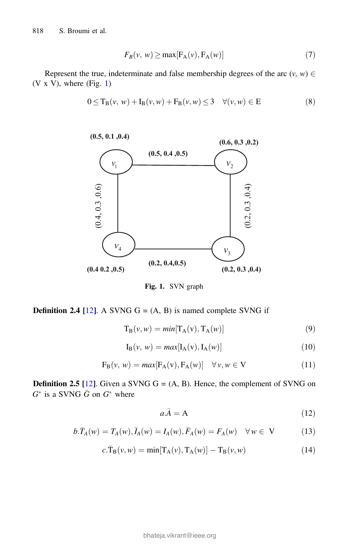818 S. Broumi et al.

$$
F_B(v, w) \ge \max[F_A(v), F_A(w)] \tag{7}
$$

Represent the true, indeterminate and false membership degrees of the arc  $(v, w) \in$  $(V \times V)$ , where (Fig. 1)

$$
0 \le T_B(v, w) + I_B(v, w) + F_B(v, w) \le 3 \quad \forall (v, w) \in E
$$
 (8)



Fig. 1. SVN graph

**Definition 2.4 [12].** A SVNG  $G = (A, B)$  is named complete SVNG if

$$
T_B(v, w) = min[T_A(v), T_A(w)] \tag{9}
$$

$$
I_{B}(\nu, w) = max[I_{A}(v), I_{A}(w)] \qquad (10)
$$

$$
F_{B}(\nu, w) = max[F_{A}(v), F_{A}(w)] \quad \forall \nu, w \in V
$$
\n(11)

**Definition 2.5** [12]. Given a SVNG  $G = (A, B)$ . Hence, the complement of SVNG on  $G^*$  is a SVNG  $\bar{G}$  on  $G^*$  where

$$
a.\bar{A} = A \tag{12}
$$

$$
b.\bar{T}_A(w) = T_A(w), \bar{I}_A(w) = I_A(w), \bar{F}_A(w) = F_A(w) \quad \forall w \in V
$$
 (13)

$$
c.\overline{T}_{\mathcal{B}}(v,w) = \min[T_{\mathcal{A}}(v), T_{\mathcal{A}}(w)] - T_{\mathcal{B}}(v,w)
$$
\n(14)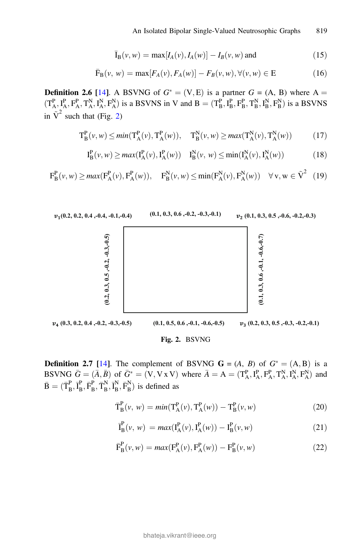$$
\bar{I}_{B}(v, w) = \max[I_{A}(v), I_{A}(w)] - I_{B}(v, w) \text{ and}
$$
\n(15)

$$
\bar{F}_{B}(\nu, w) = \max[F_{A}(\nu), F_{A}(w)] - F_{B}(\nu, w), \forall(\nu, w) \in E \tag{16}
$$

**Definition 2.6** [14]. A BSVNG of  $G^* = (V, E)$  is a partner  $G = (A, B)$  where A =  $(\mathbf{T}_A^P, \mathbf{I}_A^P, \mathbf{F}_A^N, \mathbf{I}_A^N, \mathbf{F}_A^N)$  is a BSVNS in V and  $\mathbf{B} = (\mathbf{T}_B^P, \mathbf{I}_B^P, \mathbf{F}_B^P, \mathbf{T}_B^N, \mathbf{I}_B^N, \mathbf{F}_B^N)$  is a BSVNS in  $\tilde{V}^2$  such that (Fig. 2)

$$
T_B^P(\nu, w) \le \min(T_A^P(\nu), T_A^P(w)), \quad T_B^N(\nu, w) \ge \max(T_A^N(\nu), T_A^N(w)) \tag{17}
$$

$$
I_{B}^{P}(\nu, w) \ge max(I_{A}^{P}(\nu), I_{A}^{P}(w)) \quad I_{B}^{N}(\nu, w) \le min(I_{A}^{N}(\nu), I_{A}^{N}(w)) \tag{18}
$$

$$
\mathbf{F}_{\mathbf{B}}^{\mathbf{P}}(\nu, w) \ge \max(\mathbf{F}_{\mathbf{A}}^{\mathbf{P}}(\nu), \mathbf{F}_{\mathbf{A}}^{\mathbf{P}}(\nu)), \quad \mathbf{F}_{\mathbf{B}}^{\mathbf{N}}(\nu, w) \le \min(\mathbf{F}_{\mathbf{A}}^{\mathbf{N}}(\nu), \mathbf{F}_{\mathbf{A}}^{\mathbf{N}}(\nu)) \quad \forall \mathbf{v}, \mathbf{w} \in \tilde{\mathbf{V}}^{2} \tag{19}
$$



**Definition 2.7** [14]. The complement of BSVNG  $G = (A, B)$  of  $G^* = (A, B)$  is a BSVNG  $\bar{G} = (\bar{A}, \bar{B})$  of  $\bar{G}^* = (V, V \times V)$  where  $\bar{A} = A = (T_A^P, I_A^P, T_A^P, T_A^N, I_A^N, F_A^N)$  and  $\bar{B} = (\bar{T}_B^P, \bar{I}_B^P, \bar{T}_B^N, \bar{I}_B^N, \bar{F}_B^N)$  is defined as

$$
\bar{T}_{B}^{P}(\nu, w) = min(T_{A}^{P}(\nu), T_{A}^{P}(w)) - T_{B}^{P}(\nu, w)
$$
\n(20)

$$
\bar{I}_{B}^{P}(\nu, w) = max(I_{A}^{P}(\nu), I_{A}^{P}(w)) - I_{B}^{P}(\nu, w)
$$
\n(21)

$$
\bar{F}_{B}^{P}(\nu, w) = max(F_{A}^{P}(\nu), F_{A}^{P}(w)) - F_{B}^{P}(\nu, w)
$$
\n(22)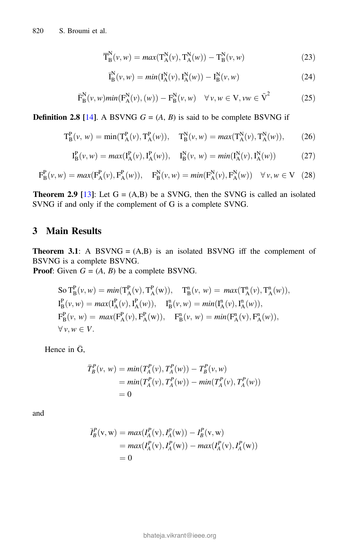$$
\overline{T}_{B}^{N}(\nu, w) = \max(T_{A}^{N}(\nu), T_{A}^{N}(w)) - T_{B}^{N}(\nu, w)
$$
\n(23)

$$
\bar{I}_{B}^{N}(\nu, w) = min(I_{A}^{N}(\nu), I_{A}^{N}(w)) - I_{B}^{N}(\nu, w)
$$
\n(24)

$$
\overline{\mathrm{F}}_{\mathrm{B}}^{\mathrm{N}}(\nu, w) \min(\mathrm{F}_{\mathrm{A}}^{\mathrm{N}}(\nu), (\nu)) - \mathrm{F}_{\mathrm{B}}^{\mathrm{N}}(\nu, w) \quad \forall \nu, w \in \mathrm{V}, \nu w \in \tilde{\mathrm{V}}^{2}
$$
 (25)

**Definition 2.8** [14]. A BSVNG  $G = (A, B)$  is said to be complete BSVNG if

$$
T_B^P(v, w) = \min(T_A^P(v), T_A^P(w)), \quad T_B^N(v, w) = \max(T_A^N(v), T_A^N(w)), \tag{26}
$$

$$
I_{B}^{P}(\nu, w) = \max(I_{A}^{P}(\nu), I_{A}^{P}(w)), \quad I_{B}^{N}(\nu, w) = \min(I_{A}^{N}(\nu), I_{A}^{N}(w))
$$
(27)

$$
F_B^P(v, w) = \max(F_A^P(v), F_A^P(w)), \quad F_B^N(v, w) = \min(F_A^N(v), F_A^N(w)) \quad \forall v, w \in V \quad (28)
$$

**Theorem 2.9** [13]: Let  $G = (A,B)$  be a SVNG, then the SVNG is called an isolated SVNG if and only if the complement of G is a complete SVNG.

#### 3 Main Results

**Theorem 3.1:** A BSVNG =  $(A,B)$  is an isolated BSVNG iff the complement of BSVNG is a complete BSVNG.

**Proof:** Given  $G = (A, B)$  be a complete BSVNG.

So 
$$
T_B^P(v, w) = min(T_A^P(v), T_A^P(w)),
$$
  $T_B^n(v, w) = max(T_A^n(v), T_A^n(w)),$   
\n $I_B^P(v, w) = max(I_A^P(v), I_A^P(w)),$   $I_B^n(v, w) = min(I_A^n(v), I_A^n(w)),$   
\n $F_B^P(v, w) = max(F_A^P(v), F_A^P(w)),$   $F_B^n(v, w) = min(F_A^n(v), F_A^n(w)),$   
\n $\forall v, w \in V.$ 

Hence in  $\bar{G}$ ,

$$
\begin{aligned} \bar{T}_B^P(v, w) &= \min(T_A^P(v), T_A^P(w)) - T_B^P(v, w) \\ &= \min(T_A^P(v), T_A^P(w)) - \min(T_A^P(v), T_A^P(w)) \\ &= 0 \end{aligned}
$$

and

$$
\overline{I}_{B}^{P}(v, w) = max(I_{A}^{P}(v), I_{A}^{P}(w)) - I_{B}^{P}(v, w) \n= max(I_{A}^{P}(v), I_{A}^{P}(w)) - max(I_{A}^{P}(v), I_{A}^{P}(w)) \n= 0
$$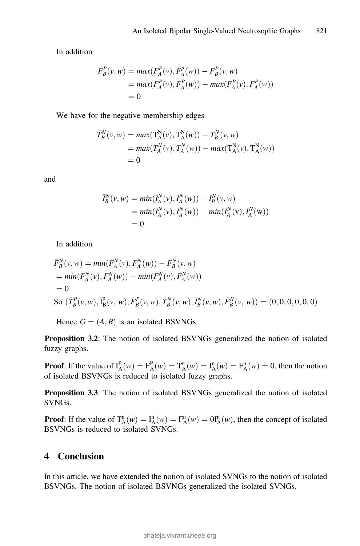In addition

$$
\begin{aligned} \bar{F}_B^P(v, w) &= \max(F_A^P(v), F_A^P(w)) - F_B^P(v, w) \\ &= \max(F_A^P(v), F_A^P(w)) - \max(F_A^P(v), F_A^P(w)) \\ &= 0 \end{aligned}
$$

We have for the negative membership edges

$$
\begin{aligned} \bar{T}_B^N(v, w) &= \max(\mathbf{T}_A^N(v), \mathbf{T}_A^N(w)) - T_B^N(v, w) \\ &= \max(T_A^N(v), T_A^N(w)) - \max(\mathbf{T}_A^N(v), \mathbf{T}_A^N(w)) \\ &= 0 \end{aligned}
$$

and

$$
\overline{I}_{B}^{N}(v, w) = min(I_{A}^{N}(v), I_{A}^{N}(w)) - I_{B}^{N}(v, w) \n= min(I_{A}^{N}(v), I_{A}^{N}(w)) - min(I_{A}^{N}(v), I_{A}^{N}(w)) \n= 0
$$

In addition

$$
\begin{aligned}\n\bar{F}_B^N(v, w) &= \min(F_A^N(v), F_A^N(w)) - F_B^N(v, w) \\
&= \min(F_A^N(v), F_A^N(w)) - \min(F_A^N(v), F_A^N(w)) \\
&= 0 \\
\text{So } (\bar{T}_B^P(v, w), \bar{I}_B^P(v, w), \bar{F}_B^P(v, w), \bar{T}_B^N(v, w), \bar{I}_B^N(v, w), \bar{F}_B^N(v, w)) = (0, 0, 0, 0, 0, 0)\n\end{aligned}
$$

Hence  $G = (A, B)$  is an isolated BSVNGs

Proposition 3.2: The notion of isolated BSVNGs generalized the notion of isolated fuzzy graphs.

**Proof:** If the value of  $I_A^P(w) = F_A^P(w) = T_A^P(w) = I_A^P(w) = F_A^P(w) = 0$ , then the notion of isolated BSVNGs is reduced to isolated fuzzy graphs of isolated BSVNGs is reduced to isolated fuzzy graphs.

Proposition 3.3: The notion of isolated BSVNGs generalized the notion of isolated SVNGs.

**Proof:** If the value of  $T_A^n(w) = T_A^n(w) = F_A^n(w) = 0$   $T_A^n(w)$ , then the concept of isolated RSVNGs is reduced to isolated SVNGs BSVNGs is reduced to isolated SVNGs.

## 4 Conclusion

In this article, we have extended the notion of isolated SVNGs to the notion of isolated BSVNGs. The notion of isolated BSVNGs generalized the isolated SVNGs.